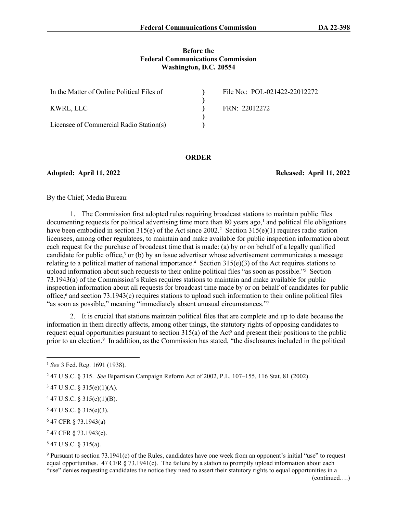## **Before the Federal Communications Commission Washington, D.C. 20554**

| In the Matter of Online Political Files of | File No.: POL-021422-22012272 |
|--------------------------------------------|-------------------------------|
| KWRL, LLC                                  | FRN: 22012272                 |
| Licensee of Commercial Radio Station(s)    |                               |

#### **ORDER**

**Adopted: April 11, 2022 Released: April 11, 2022**

By the Chief, Media Bureau:

1. The Commission first adopted rules requiring broadcast stations to maintain public files  $d$ ocumenting requests for political advertising time more than 80 years ago,<sup>1</sup> and political file obligations have been embodied in section 315(e) of the Act since 2002.<sup>2</sup> Section 315(e)(1) requires radio station licensees, among other regulatees, to maintain and make available for public inspection information about each request for the purchase of broadcast time that is made: (a) by or on behalf of a legally qualified candidate for public office,<sup>3</sup> or (b) by an issue advertiser whose advertisement communicates a message relating to a political matter of national importance.<sup>4</sup> Section  $315(e)(3)$  of the Act requires stations to upload information about such requests to their online political files "as soon as possible."<sup>5</sup> Section 73.1943(a) of the Commission's Rules requires stations to maintain and make available for public inspection information about all requests for broadcast time made by or on behalf of candidates for public office,<sup>6</sup> and section 73.1943(c) requires stations to upload such information to their online political files "as soon as possible," meaning "immediately absent unusual circumstances."<sup>7</sup>

2. It is crucial that stations maintain political files that are complete and up to date because the information in them directly affects, among other things, the statutory rights of opposing candidates to request equal opportunities pursuant to section  $315(a)$  of the Act<sup>8</sup> and present their positions to the public prior to an election.<sup>9</sup> In addition, as the Commission has stated, "the disclosures included in the political

- $547$  U.S.C. § 315(e)(3).
- 6 47 CFR § 73.1943(a)
- 7 47 CFR § 73.1943(c).

8 47 U.S.C. § 315(a).

9 Pursuant to section 73.1941(c) of the Rules, candidates have one week from an opponent's initial "use" to request equal opportunities. 47 CFR  $\S$  73.1941(c). The failure by a station to promptly upload information about each "use" denies requesting candidates the notice they need to assert their statutory rights to equal opportunities in a

<sup>1</sup> *See* 3 Fed. Reg. 1691 (1938).

<sup>2</sup> 47 U.S.C. § 315. *See* Bipartisan Campaign Reform Act of 2002, P.L. 107–155, 116 Stat. 81 (2002).

 $347$  U.S.C. § 315(e)(1)(A).

 $447$  U.S.C. § 315(e)(1)(B).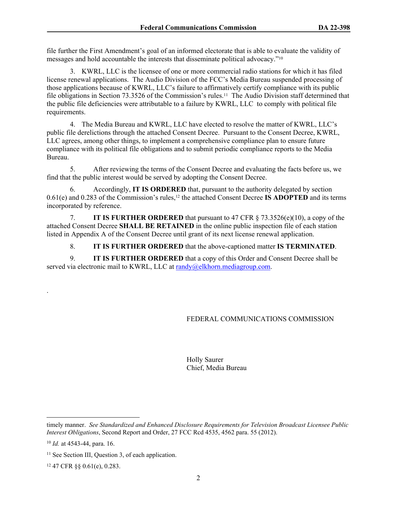file further the First Amendment's goal of an informed electorate that is able to evaluate the validity of messages and hold accountable the interests that disseminate political advocacy."<sup>10</sup>

3. KWRL, LLC is the licensee of one or more commercial radio stations for which it has filed license renewal applications. The Audio Division of the FCC's Media Bureau suspended processing of those applications because of KWRL, LLC's failure to affirmatively certify compliance with its public file obligations in Section 73.3526 of the Commission's rules.<sup>11</sup> The Audio Division staff determined that the public file deficiencies were attributable to a failure by KWRL, LLC to comply with political file requirements.

4. The Media Bureau and KWRL, LLC have elected to resolve the matter of KWRL, LLC's public file derelictions through the attached Consent Decree. Pursuant to the Consent Decree, KWRL, LLC agrees, among other things, to implement a comprehensive compliance plan to ensure future compliance with its political file obligations and to submit periodic compliance reports to the Media Bureau.

5. After reviewing the terms of the Consent Decree and evaluating the facts before us, we find that the public interest would be served by adopting the Consent Decree.

6. Accordingly, **IT IS ORDERED** that, pursuant to the authority delegated by section 0.61(e) and 0.283 of the Commission's rules,12 the attached Consent Decree **IS ADOPTED** and its terms incorporated by reference.

7. **IT IS FURTHER ORDERED** that pursuant to 47 CFR § 73.3526(e)(10), a copy of the attached Consent Decree **SHALL BE RETAINED** in the online public inspection file of each station listed in Appendix A of the Consent Decree until grant of its next license renewal application.

8. **IT IS FURTHER ORDERED** that the above-captioned matter **IS TERMINATED**.

9. **IT IS FURTHER ORDERED** that a copy of this Order and Consent Decree shall be served via electronic mail to KWRL, LLC at [randy@elkhorn.mediagroup.com](mailto:randy@elkhorn.mediagroup.com).

#### FEDERAL COMMUNICATIONS COMMISSION

Holly Saurer Chief, Media Bureau

.

12 47 CFR §§ 0.61(e), 0.283.

timely manner. *See Standardized and Enhanced Disclosure Requirements for Television Broadcast Licensee Public Interest Obligations*, Second Report and Order, 27 FCC Rcd 4535, 4562 para. 55 (2012).

<sup>10</sup> *Id.* at 4543-44, para. 16.

<sup>&</sup>lt;sup>11</sup> See Section III, Question 3, of each application.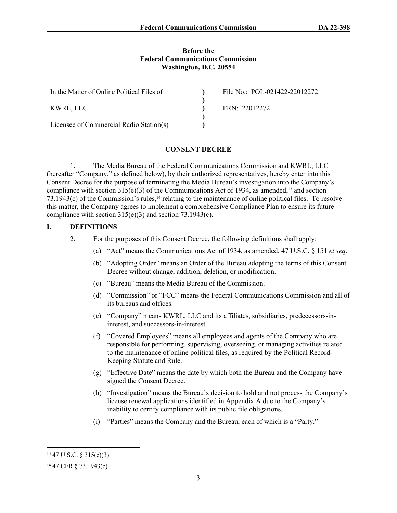## **Before the Federal Communications Commission Washington, D.C. 20554**

| In the Matter of Online Political Files of | File No.: POL-021422-22012272 |
|--------------------------------------------|-------------------------------|
|                                            |                               |
| KWRL. LLC                                  | FRN: 22012272                 |
|                                            |                               |
| Licensee of Commercial Radio Station(s)    |                               |

# **CONSENT DECREE**

1. The Media Bureau of the Federal Communications Commission and KWRL, LLC (hereafter "Company," as defined below), by their authorized representatives, hereby enter into this Consent Decree for the purpose of terminating the Media Bureau's investigation into the Company's compliance with section  $315(e)(3)$  of the Communications Act of 1934, as amended,<sup>13</sup> and section  $73.1943(c)$  of the Commission's rules,<sup>14</sup> relating to the maintenance of online political files. To resolve this matter, the Company agrees to implement a comprehensive Compliance Plan to ensure its future compliance with section  $315(e)(3)$  and section  $73.1943(c)$ .

# **I. DEFINITIONS**

- 2. For the purposes of this Consent Decree, the following definitions shall apply:
	- (a) "Act" means the Communications Act of 1934, as amended, 47 U.S.C. § 151 *et seq*.
	- (b) "Adopting Order" means an Order of the Bureau adopting the terms of this Consent Decree without change, addition, deletion, or modification.
	- (c) "Bureau" means the Media Bureau of the Commission.
	- (d) "Commission" or "FCC" means the Federal Communications Commission and all of its bureaus and offices.
	- (e) "Company" means KWRL, LLC and its affiliates, subsidiaries, predecessors-ininterest, and successors-in-interest.
	- (f) "Covered Employees" means all employees and agents of the Company who are responsible for performing, supervising, overseeing, or managing activities related to the maintenance of online political files, as required by the Political Record-Keeping Statute and Rule.
	- (g) "Effective Date" means the date by which both the Bureau and the Company have signed the Consent Decree.
	- (h) "Investigation" means the Bureau's decision to hold and not process the Company's license renewal applications identified in Appendix A due to the Company's inability to certify compliance with its public file obligations.
	- (i) "Parties" means the Company and the Bureau, each of which is a "Party."

<sup>13</sup> 47 U.S.C. § 315(e)(3).

<sup>14</sup> 47 CFR § 73.1943(c).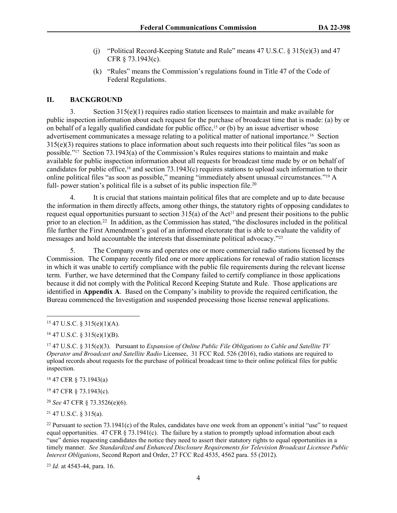- (j) "Political Record-Keeping Statute and Rule" means  $47 \text{ U.S.C. }$  §  $315(e)(3)$  and  $47$ CFR § 73.1943(c).
- (k) "Rules" means the Commission's regulations found in Title 47 of the Code of Federal Regulations.

# **II. BACKGROUND**

3. Section 315(e)(1) requires radio station licensees to maintain and make available for public inspection information about each request for the purchase of broadcast time that is made: (a) by or on behalf of a legally qualified candidate for public office,<sup>15</sup> or (b) by an issue advertiser whose advertisement communicates a message relating to a political matter of national importance.16 Section 315(e)(3) requires stations to place information about such requests into their political files "as soon as possible."17 Section 73.1943(a) of the Commission's Rules requires stations to maintain and make available for public inspection information about all requests for broadcast time made by or on behalf of candidates for public office,18 and section 73.1943(c) requires stations to upload such information to their online political files "as soon as possible," meaning "immediately absent unusual circumstances."19 A full- power station's political file is a subset of its public inspection file.<sup>20</sup>

4. It is crucial that stations maintain political files that are complete and up to date because the information in them directly affects, among other things, the statutory rights of opposing candidates to request equal opportunities pursuant to section  $315(a)$  of the Act<sup>21</sup> and present their positions to the public prior to an election.<sup>22</sup> In addition, as the Commission has stated, "the disclosures included in the political file further the First Amendment's goal of an informed electorate that is able to evaluate the validity of messages and hold accountable the interests that disseminate political advocacy."<sup>23</sup>

5. The Company owns and operates one or more commercial radio stations licensed by the Commission. The Company recently filed one or more applications for renewal of radio station licenses in which it was unable to certify compliance with the public file requirements during the relevant license term. Further, we have determined that the Company failed to certify compliance in those applications because it did not comply with the Political Record Keeping Statute and Rule. Those applications are identified in **Appendix A**. Based on the Company's inability to provide the required certification, the Bureau commenced the Investigation and suspended processing those license renewal applications.

<sup>18</sup> 47 CFR § 73.1943(a)

<sup>19</sup> 47 CFR § 73.1943(c).

<sup>20</sup> *See* 47 CFR § 73.3526(e)(6).

<sup>21</sup> 47 U.S.C. § 315(a).

<sup>23</sup> *Id.* at 4543-44, para. 16.

 $15$  47 U.S.C. § 315(e)(1)(A).

 $16$  47 U.S.C. § 315(e)(1)(B).

<sup>17</sup> 47 U.S.C. § 315(e)(3). Pursuant to *Expansion of Online Public File Obligations to Cable and Satellite TV Operator and Broadcast and Satellite Radio* Licensee, 31 FCC Rcd. 526 (2016), radio stations are required to upload records about requests for the purchase of political broadcast time to their online political files for public inspection.

<sup>&</sup>lt;sup>22</sup> Pursuant to section  $73.1941(c)$  of the Rules, candidates have one week from an opponent's initial "use" to request equal opportunities. 47 CFR  $\S$  73.1941(c). The failure by a station to promptly upload information about each "use" denies requesting candidates the notice they need to assert their statutory rights to equal opportunities in a timely manner. *See Standardized and Enhanced Disclosure Requirements for Television Broadcast Licensee Public Interest Obligations*, Second Report and Order, 27 FCC Rcd 4535, 4562 para. 55 (2012).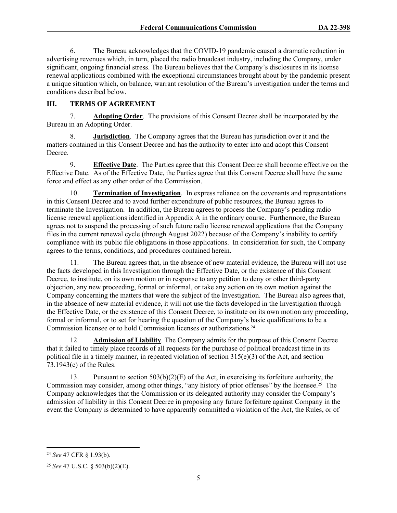6. The Bureau acknowledges that the COVID-19 pandemic caused a dramatic reduction in advertising revenues which, in turn, placed the radio broadcast industry, including the Company, under significant, ongoing financial stress. The Bureau believes that the Company's disclosures in its license renewal applications combined with the exceptional circumstances brought about by the pandemic present a unique situation which, on balance, warrant resolution of the Bureau's investigation under the terms and conditions described below.

# **III. TERMS OF AGREEMENT**

7. **Adopting Order**.The provisions of this Consent Decree shall be incorporated by the Bureau in an Adopting Order.

8. **Jurisdiction**. The Company agrees that the Bureau has jurisdiction over it and the matters contained in this Consent Decree and has the authority to enter into and adopt this Consent Decree.

9. **Effective Date**. The Parties agree that this Consent Decree shall become effective on the Effective Date. As of the Effective Date, the Parties agree that this Consent Decree shall have the same force and effect as any other order of the Commission.

10. **Termination of Investigation**.In express reliance on the covenants and representations in this Consent Decree and to avoid further expenditure of public resources, the Bureau agrees to terminate the Investigation. In addition, the Bureau agrees to process the Company's pending radio license renewal applications identified in Appendix A in the ordinary course. Furthermore, the Bureau agrees not to suspend the processing of such future radio license renewal applications that the Company files in the current renewal cycle (through August 2022) because of the Company's inability to certify compliance with its public file obligations in those applications. In consideration for such, the Company agrees to the terms, conditions, and procedures contained herein.

11. The Bureau agrees that, in the absence of new material evidence, the Bureau will not use the facts developed in this Investigation through the Effective Date, or the existence of this Consent Decree, to institute, on its own motion or in response to any petition to deny or other third-party objection, any new proceeding, formal or informal, or take any action on its own motion against the Company concerning the matters that were the subject of the Investigation. The Bureau also agrees that, in the absence of new material evidence, it will not use the facts developed in the Investigation through the Effective Date, or the existence of this Consent Decree, to institute on its own motion any proceeding, formal or informal, or to set for hearing the question of the Company's basic qualifications to be a Commission licensee or to hold Commission licenses or authorizations.<sup>24</sup>

12. **Admission of Liability**. The Company admits for the purpose of this Consent Decree that it failed to timely place records of all requests for the purchase of political broadcast time in its political file in a timely manner, in repeated violation of section 315(e)(3) of the Act, and section 73.1943(c) of the Rules.

13. Pursuant to section  $503(b)(2)(E)$  of the Act, in exercising its forfeiture authority, the Commission may consider, among other things, "any history of prior offenses" by the licensee.25 The Company acknowledges that the Commission or its delegated authority may consider the Company's admission of liability in this Consent Decree in proposing any future forfeiture against Company in the event the Company is determined to have apparently committed a violation of the Act, the Rules, or of

<sup>24</sup> *See* 47 CFR § 1.93(b).

<sup>25</sup> *See* 47 U.S.C. § 503(b)(2)(E).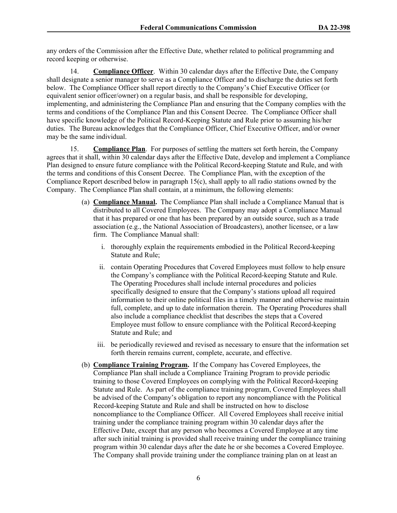any orders of the Commission after the Effective Date, whether related to political programming and record keeping or otherwise.

14. **Compliance Officer**. Within 30 calendar days after the Effective Date, the Company shall designate a senior manager to serve as a Compliance Officer and to discharge the duties set forth below. The Compliance Officer shall report directly to the Company's Chief Executive Officer (or equivalent senior officer/owner) on a regular basis, and shall be responsible for developing, implementing, and administering the Compliance Plan and ensuring that the Company complies with the terms and conditions of the Compliance Plan and this Consent Decree. The Compliance Officer shall have specific knowledge of the Political Record-Keeping Statute and Rule prior to assuming his/her duties. The Bureau acknowledges that the Compliance Officer, Chief Executive Officer, and/or owner may be the same individual.

15. **Compliance Plan**. For purposes of settling the matters set forth herein, the Company agrees that it shall, within 30 calendar days after the Effective Date, develop and implement a Compliance Plan designed to ensure future compliance with the Political Record-keeping Statute and Rule, and with the terms and conditions of this Consent Decree. The Compliance Plan, with the exception of the Compliance Report described below in paragraph 15(c), shall apply to all radio stations owned by the Company. The Compliance Plan shall contain, at a minimum, the following elements:

- (a) **Compliance Manual.** The Compliance Plan shall include a Compliance Manual that is distributed to all Covered Employees. The Company may adopt a Compliance Manual that it has prepared or one that has been prepared by an outside source, such as a trade association (e.g., the National Association of Broadcasters), another licensee, or a law firm. The Compliance Manual shall:
	- i. thoroughly explain the requirements embodied in the Political Record-keeping Statute and Rule;
	- ii. contain Operating Procedures that Covered Employees must follow to help ensure the Company's compliance with the Political Record-keeping Statute and Rule. The Operating Procedures shall include internal procedures and policies specifically designed to ensure that the Company's stations upload all required information to their online political files in a timely manner and otherwise maintain full, complete, and up to date information therein. The Operating Procedures shall also include a compliance checklist that describes the steps that a Covered Employee must follow to ensure compliance with the Political Record-keeping Statute and Rule; and
	- iii. be periodically reviewed and revised as necessary to ensure that the information set forth therein remains current, complete, accurate, and effective.
- (b) **Compliance Training Program.** If the Company has Covered Employees, the Compliance Plan shall include a Compliance Training Program to provide periodic training to those Covered Employees on complying with the Political Record-keeping Statute and Rule. As part of the compliance training program, Covered Employees shall be advised of the Company's obligation to report any noncompliance with the Political Record-keeping Statute and Rule and shall be instructed on how to disclose noncompliance to the Compliance Officer. All Covered Employees shall receive initial training under the compliance training program within 30 calendar days after the Effective Date, except that any person who becomes a Covered Employee at any time after such initial training is provided shall receive training under the compliance training program within 30 calendar days after the date he or she becomes a Covered Employee. The Company shall provide training under the compliance training plan on at least an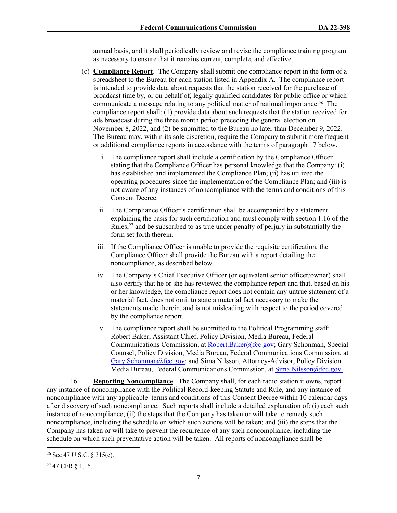annual basis, and it shall periodically review and revise the compliance training program as necessary to ensure that it remains current, complete, and effective.

- (c) **Compliance Report**. The Company shall submit one compliance report in the form of a spreadsheet to the Bureau for each station listed in Appendix A. The compliance report is intended to provide data about requests that the station received for the purchase of broadcast time by, or on behalf of, legally qualified candidates for public office or which communicate a message relating to any political matter of national importance.26 The compliance report shall: (1) provide data about such requests that the station received for ads broadcast during the three month period preceding the general election on November 8, 2022, and (2) be submitted to the Bureau no later than December 9, 2022. The Bureau may, within its sole discretion, require the Company to submit more frequent or additional compliance reports in accordance with the terms of paragraph 17 below.
	- i. The compliance report shall include a certification by the Compliance Officer stating that the Compliance Officer has personal knowledge that the Company: (i) has established and implemented the Compliance Plan; (ii) has utilized the operating procedures since the implementation of the Compliance Plan; and (iii) is not aware of any instances of noncompliance with the terms and conditions of this Consent Decree.
	- ii. The Compliance Officer's certification shall be accompanied by a statement explaining the basis for such certification and must comply with section 1.16 of the Rules, $^{27}$  and be subscribed to as true under penalty of perjury in substantially the form set forth therein.
	- iii. If the Compliance Officer is unable to provide the requisite certification, the Compliance Officer shall provide the Bureau with a report detailing the noncompliance, as described below.
	- iv. The Company's Chief Executive Officer (or equivalent senior officer/owner) shall also certify that he or she has reviewed the compliance report and that, based on his or her knowledge, the compliance report does not contain any untrue statement of a material fact, does not omit to state a material fact necessary to make the statements made therein, and is not misleading with respect to the period covered by the compliance report.
	- v. The compliance report shall be submitted to the Political Programming staff: Robert Baker, Assistant Chief, Policy Division, Media Bureau, Federal Communications Commission, at [Robert.Baker@fcc.gov](mailto:Robert.Baker@fcc.gov); Gary Schonman, Special Counsel, Policy Division, Media Bureau, Federal Communications Commission, at [Gary.Schonman@fcc.gov;](mailto:Gary.Schonman@fcc.gov) and Sima Nilsson, Attorney-Advisor, Policy Division Media Bureau, Federal Communications Commission, at [Sima.Nilsson@fcc.gov.](file://fccnet/data/Bureaus-Offices/MB/Policy/MB/Policy/POLITICAL%20PROGRAMMING/COMPLAINTS%20AND%20PETITIONS%20FOR%20RULEMAKING%20&%20DECLARATORY%20RULINGS/POLITICAL%20FILES%20-%20GROUP%20OWNERS/Consent%20Decrees/Entercom/Sima.Nilsson@fcc.gov.)

16. **Reporting Noncompliance**. The Company shall, for each radio station it owns, report any instance of noncompliance with the Political Record-keeping Statute and Rule, and any instance of noncompliance with any applicable terms and conditions of this Consent Decree within 10 calendar days after discovery of such noncompliance. Such reports shall include a detailed explanation of: (i) each such instance of noncompliance; (ii) the steps that the Company has taken or will take to remedy such noncompliance, including the schedule on which such actions will be taken; and (iii) the steps that the Company has taken or will take to prevent the recurrence of any such noncompliance, including the schedule on which such preventative action will be taken. All reports of noncompliance shall be

<sup>26</sup> See 47 U.S.C. § 315(e).

<sup>27</sup> 47 CFR § 1.16.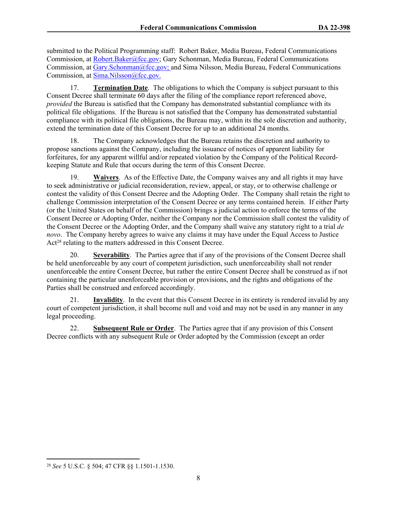submitted to the Political Programming staff: Robert Baker, Media Bureau, Federal Communications Commission, at [Robert.Baker@fcc.gov;](mailto:Robert.Baker@fcc.gov) Gary Schonman, Media Bureau, Federal Communications Commission, at [Gary.Schonman@fcc.gov;](mailto:Gary.Schonman@fcc.gov) and Sima Nilsson, Media Bureau, Federal Communications Commission, at [Sima.Nilsson@fcc.gov.](file://fccnet/data/Bureaus-Offices/MB/Policy/MB/Policy/POLITICAL%20PROGRAMMING/COMPLAINTS%20AND%20PETITIONS%20FOR%20RULEMAKING%20&%20DECLARATORY%20RULINGS/POLITICAL%20FILES%20-%20GROUP%20OWNERS/Consent%20Decrees/Entercom/Sima.Nilsson@fcc.gov.)

17. **Termination Date**. The obligations to which the Company is subject pursuant to this Consent Decree shall terminate 60 days after the filing of the compliance report referenced above, *provided* the Bureau is satisfied that the Company has demonstrated substantial compliance with its political file obligations. If the Bureau is not satisfied that the Company has demonstrated substantial compliance with its political file obligations, the Bureau may, within its the sole discretion and authority, extend the termination date of this Consent Decree for up to an additional 24 months.

18. The Company acknowledges that the Bureau retains the discretion and authority to propose sanctions against the Company, including the issuance of notices of apparent liability for forfeitures, for any apparent willful and/or repeated violation by the Company of the Political Recordkeeping Statute and Rule that occurs during the term of this Consent Decree.

19. **Waivers**. As of the Effective Date, the Company waives any and all rights it may have to seek administrative or judicial reconsideration, review, appeal, or stay, or to otherwise challenge or contest the validity of this Consent Decree and the Adopting Order. The Company shall retain the right to challenge Commission interpretation of the Consent Decree or any terms contained herein. If either Party (or the United States on behalf of the Commission) brings a judicial action to enforce the terms of the Consent Decree or Adopting Order, neither the Company nor the Commission shall contest the validity of the Consent Decree or the Adopting Order, and the Company shall waive any statutory right to a trial *de novo*. The Company hereby agrees to waive any claims it may have under the Equal Access to Justice Act<sup>28</sup> relating to the matters addressed in this Consent Decree.

20. **Severability**. The Parties agree that if any of the provisions of the Consent Decree shall be held unenforceable by any court of competent jurisdiction, such unenforceability shall not render unenforceable the entire Consent Decree, but rather the entire Consent Decree shall be construed as if not containing the particular unenforceable provision or provisions, and the rights and obligations of the Parties shall be construed and enforced accordingly.

21. **Invalidity**. In the event that this Consent Decree in its entirety is rendered invalid by any court of competent jurisdiction, it shall become null and void and may not be used in any manner in any legal proceeding.

22. **Subsequent Rule or Order**. The Parties agree that if any provision of this Consent Decree conflicts with any subsequent Rule or Order adopted by the Commission (except an order

<sup>28</sup> *See* 5 U.S.C. § 504; 47 CFR §§ 1.1501-1.1530.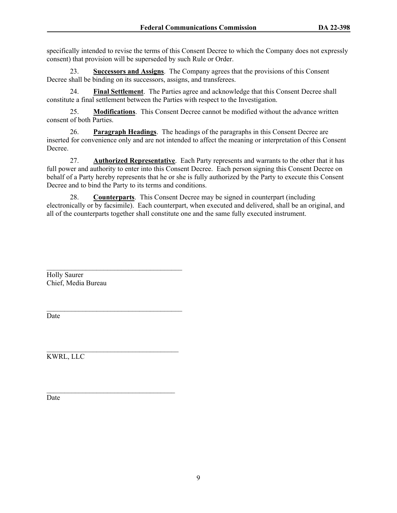specifically intended to revise the terms of this Consent Decree to which the Company does not expressly consent) that provision will be superseded by such Rule or Order.

23. **Successors and Assigns**.The Company agrees that the provisions of this Consent Decree shall be binding on its successors, assigns, and transferees.

24. **Final Settlement**. The Parties agree and acknowledge that this Consent Decree shall constitute a final settlement between the Parties with respect to the Investigation.

25. **Modifications**. This Consent Decree cannot be modified without the advance written consent of both Parties.

26. **Paragraph Headings**. The headings of the paragraphs in this Consent Decree are inserted for convenience only and are not intended to affect the meaning or interpretation of this Consent Decree.

27. **Authorized Representative**. Each Party represents and warrants to the other that it has full power and authority to enter into this Consent Decree. Each person signing this Consent Decree on behalf of a Party hereby represents that he or she is fully authorized by the Party to execute this Consent Decree and to bind the Party to its terms and conditions.

28. **Counterparts**. This Consent Decree may be signed in counterpart (including electronically or by facsimile). Each counterpart, when executed and delivered, shall be an original, and all of the counterparts together shall constitute one and the same fully executed instrument.

Holly Saurer Chief, Media Bureau

 $\mathcal{L}_\text{max}$ 

Date

 $\mathcal{L}_\text{max}$  and  $\mathcal{L}_\text{max}$  and  $\mathcal{L}_\text{max}$  and  $\mathcal{L}_\text{max}$ KWRL, LLC

Date